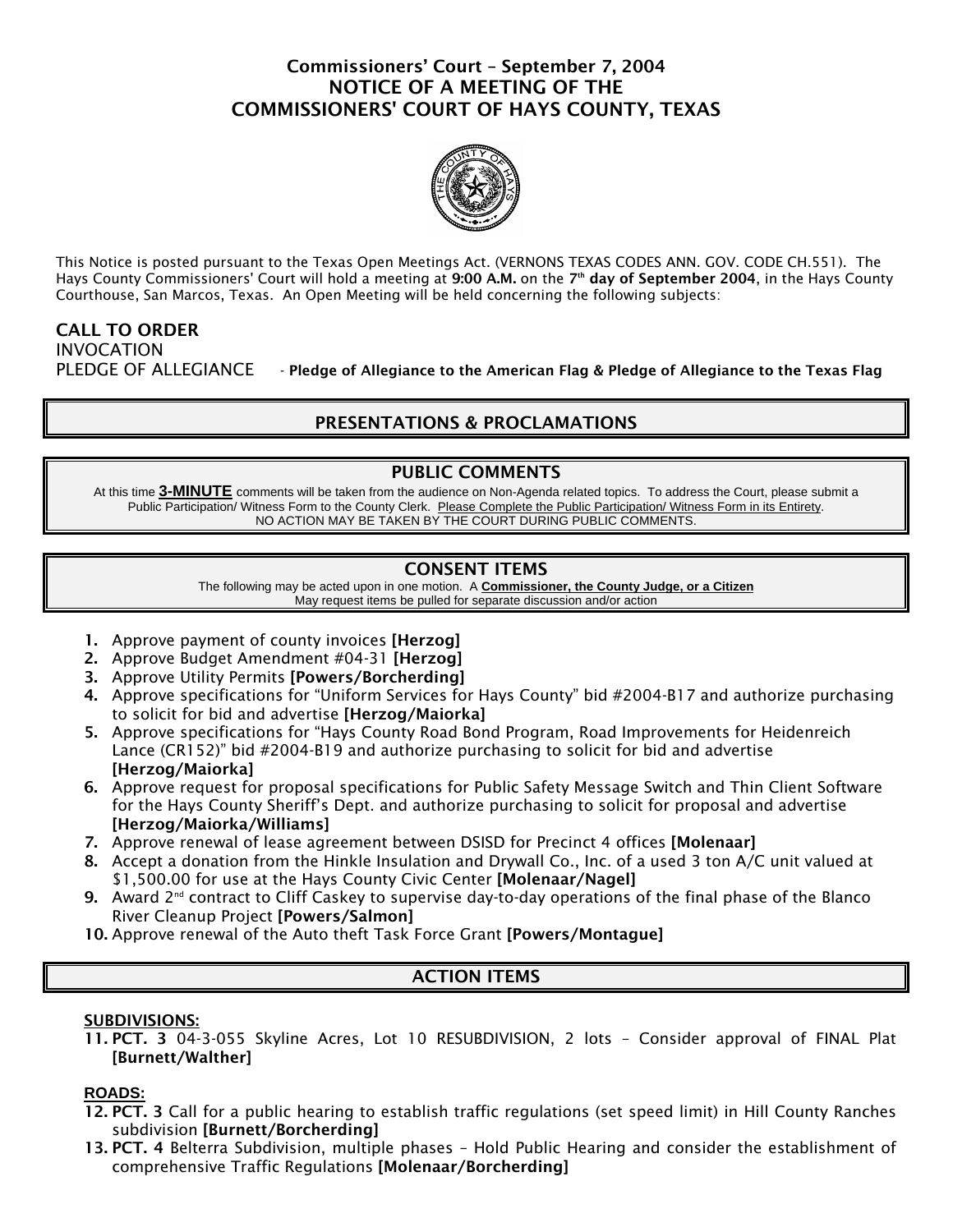## Commissioners' Court – September 7, 2004 NOTICE OF A MEETING OF THE COMMISSIONERS' COURT OF HAYS COUNTY, TEXAS



This Notice is posted pursuant to the Texas Open Meetings Act. (VERNONS TEXAS CODES ANN. GOV. CODE CH.551). The Hays County Commissioners' Court will hold a meeting at 9:00 A.M. on the 7<sup>th</sup> day of September 2004, in the Hays County Courthouse, San Marcos, Texas. An Open Meeting will be held concerning the following subjects:

# CALL TO ORDER INVOCATION

PLEDGE OF ALLEGIANCE - Pledge of Allegiance to the American Flag & Pledge of Allegiance to the Texas Flag

## PRESENTATIONS & PROCLAMATIONS

### PUBLIC COMMENTS

At this time **3-MINUTE** comments will be taken from the audience on Non-Agenda related topics. To address the Court, please submit a Public Participation/ Witness Form to the County Clerk. Please Complete the Public Participation/ Witness Form in its Entirety. NO ACTION MAY BE TAKEN BY THE COURT DURING PUBLIC COMMENTS.

## CONSENT ITEMS

The following may be acted upon in one motion. A **Commissioner, the County Judge, or a Citizen** May request items be pulled for separate discussion and/or action

- 1. Approve payment of county invoices [Herzog]
- 2. Approve Budget Amendment #04-31 [Herzog]
- 3. Approve Utility Permits [Powers/Borcherding]
- 4. Approve specifications for "Uniform Services for Hays County" bid #2004-B17 and authorize purchasing to solicit for bid and advertise [Herzog/Maiorka]
- 5. Approve specifications for "Hays County Road Bond Program, Road Improvements for Heidenreich Lance (CR152)" bid #2004-B19 and authorize purchasing to solicit for bid and advertise [Herzog/Maiorka]
- 6. Approve request for proposal specifications for Public Safety Message Switch and Thin Client Software for the Hays County Sheriff's Dept. and authorize purchasing to solicit for proposal and advertise [Herzog/Maiorka/Williams]
- 7. Approve renewal of lease agreement between DSISD for Precinct 4 offices [Molenaar]
- 8. Accept a donation from the Hinkle Insulation and Drywall Co., Inc. of a used 3 ton A/C unit valued at \$1,500.00 for use at the Hays County Civic Center [Molenaar/Nagel]
- 9. Award  $2^{nd}$  contract to Cliff Caskey to supervise day-to-day operations of the final phase of the Blanco River Cleanup Project [Powers/Salmon]
- 10. Approve renewal of the Auto theft Task Force Grant [Powers/Montague]

## ACTION ITEMS

#### SUBDIVISIONS:

11. PCT. 3 04-3-055 Skyline Acres, Lot 10 RESUBDIVISION, 2 lots – Consider approval of FINAL Plat [Burnett/Walther]

#### **ROADS:**

- 12. PCT. 3 Call for a public hearing to establish traffic regulations (set speed limit) in Hill County Ranches subdivision [Burnett/Borcherding]
- 13. PCT. 4 Belterra Subdivision, multiple phases Hold Public Hearing and consider the establishment of comprehensive Traffic Regulations [Molenaar/Borcherding]